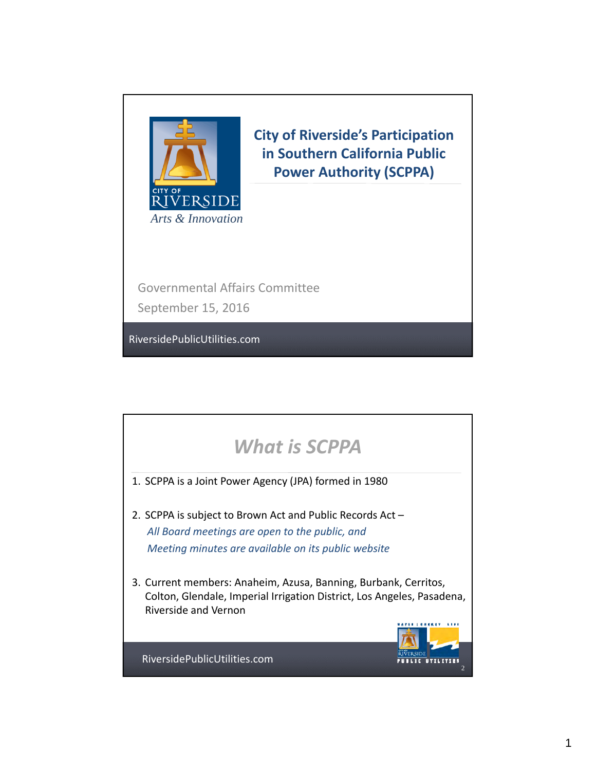

**City of Riverside's Participation in Southern California Public Power Authority (SCPPA)**

Governmental Affairs Committee September 15, 2016

RiversidePublicUtilities.com RiversidePublicUtilities.com

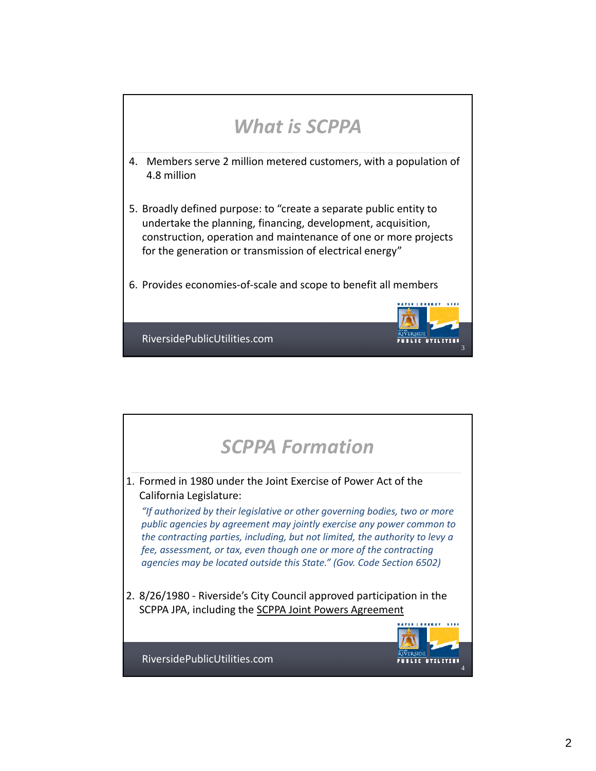

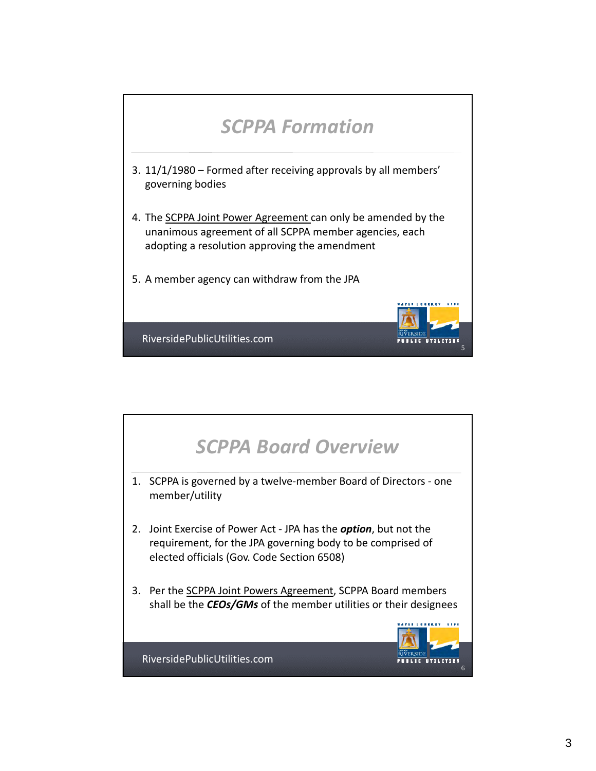

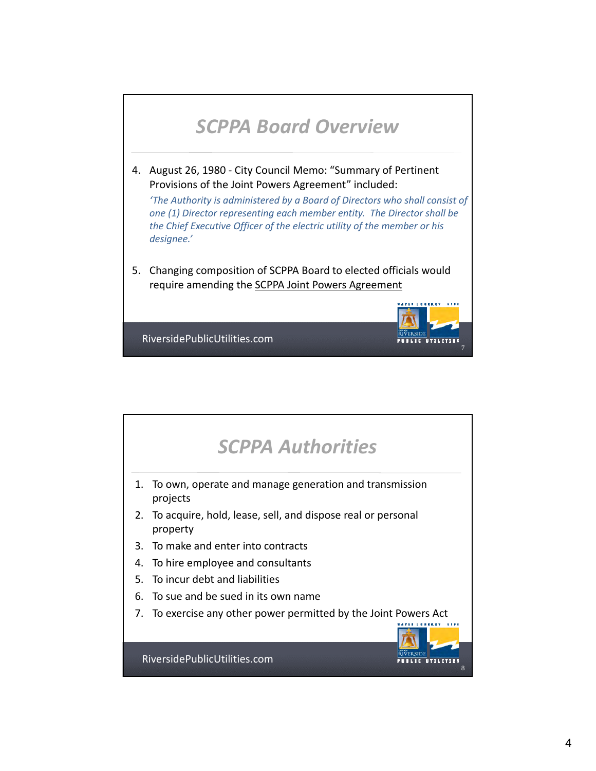

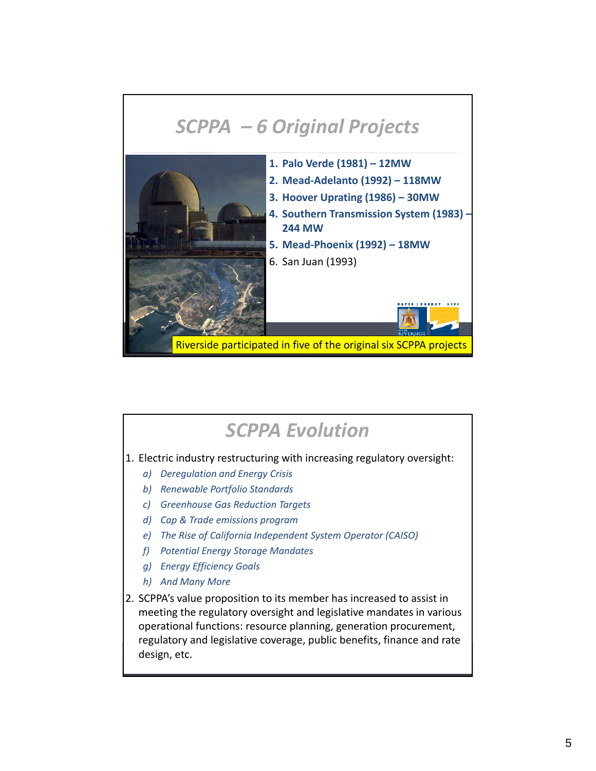## *SCPPA – 6 Original Projects*



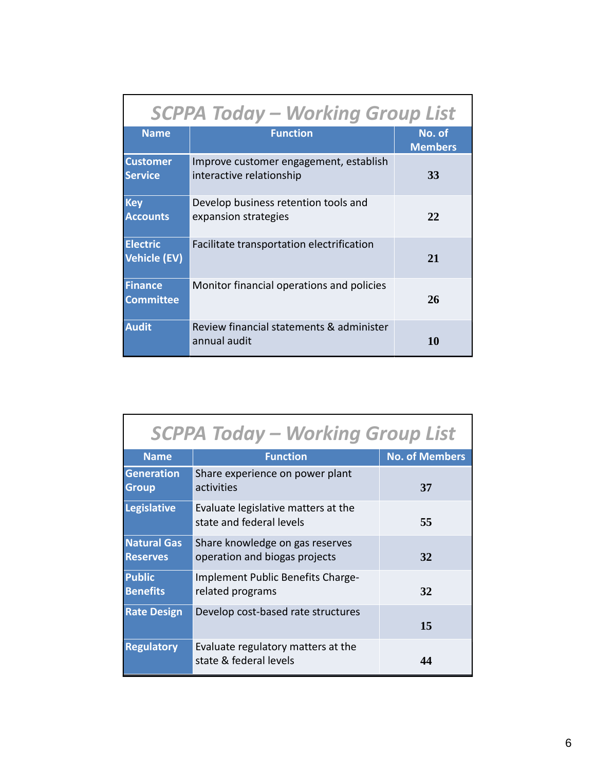|                                        | <b>SCPPA Today – Working Group List</b>                            |                          |  |
|----------------------------------------|--------------------------------------------------------------------|--------------------------|--|
| <b>Name</b>                            | <b>Function</b>                                                    | No. of<br><b>Members</b> |  |
| <b>Customer</b><br><b>Service</b>      | Improve customer engagement, establish<br>interactive relationship | 33                       |  |
| <b>Key</b><br><b>Accounts</b>          | Develop business retention tools and<br>expansion strategies       | 22                       |  |
| <b>Electric</b><br><b>Vehicle (EV)</b> | Facilitate transportation electrification                          | 21                       |  |
| <b>Finance</b><br><b>Committee</b>     | Monitor financial operations and policies                          | 26                       |  |
| <b>Audit</b>                           | Review financial statements & administer<br>annual audit           | 10                       |  |

|                                       | <b>SCPPA Today – Working Group List</b>                          |                       |  |  |
|---------------------------------------|------------------------------------------------------------------|-----------------------|--|--|
| <b>Name</b>                           | <b>Function</b>                                                  | <b>No. of Members</b> |  |  |
| <b>Generation</b><br>Group            | Share experience on power plant<br>activities                    | 37                    |  |  |
| Legislative                           | Evaluate legislative matters at the<br>state and federal levels  | 55                    |  |  |
| <b>Natural Gas</b><br><b>Reserves</b> | Share knowledge on gas reserves<br>operation and biogas projects | 32                    |  |  |
| <b>Public</b><br><b>Benefits</b>      | Implement Public Benefits Charge-<br>related programs            | 32                    |  |  |
| <b>Rate Design</b>                    | Develop cost-based rate structures                               | 15                    |  |  |
| <b>Regulatory</b>                     | Evaluate regulatory matters at the<br>state & federal levels     | 44                    |  |  |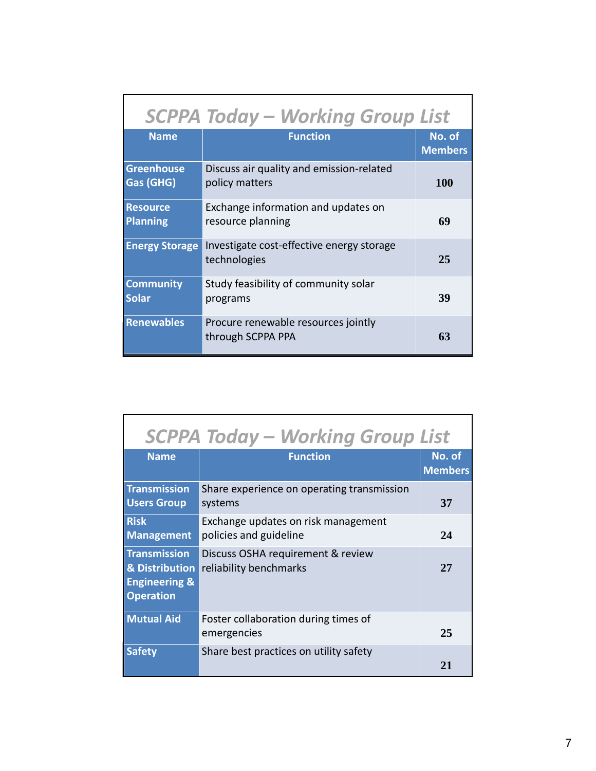|                                    | <b>SCPPA Today – Working Group List</b>                    |                          |
|------------------------------------|------------------------------------------------------------|--------------------------|
| <b>Name</b>                        | <b>Function</b>                                            | No. of<br><b>Members</b> |
| <b>Greenhouse</b><br>Gas (GHG)     | Discuss air quality and emission-related<br>policy matters | <b>100</b>               |
| <b>Resource</b><br><b>Planning</b> | Exchange information and updates on<br>resource planning   | 69                       |
| <b>Energy Storage</b>              | Investigate cost-effective energy storage<br>technologies  | 25                       |
| <b>Community</b><br><b>Solar</b>   | Study feasibility of community solar<br>programs           | 39                       |
| <b>Renewables</b>                  | Procure renewable resources jointly<br>through SCPPA PPA   | 63                       |

| <b>SCPPA Today – Working Group List</b>                                               |                                                               |                          |  |
|---------------------------------------------------------------------------------------|---------------------------------------------------------------|--------------------------|--|
| <b>Name</b>                                                                           | <b>Function</b>                                               | No. of<br><b>Members</b> |  |
| <b>Transmission</b><br><b>Users Group</b>                                             | Share experience on operating transmission<br>systems         | 37                       |  |
| <b>Risk</b><br><b>Management</b>                                                      | Exchange updates on risk management<br>policies and guideline | 24                       |  |
| <b>Transmission</b><br>& Distribution<br><b>Engineering &amp;</b><br><b>Operation</b> | Discuss OSHA requirement & review<br>reliability benchmarks   | 27                       |  |
| <b>Mutual Aid</b>                                                                     | Foster collaboration during times of<br>emergencies           | 25                       |  |
| <b>Safety</b>                                                                         | Share best practices on utility safety                        | 21                       |  |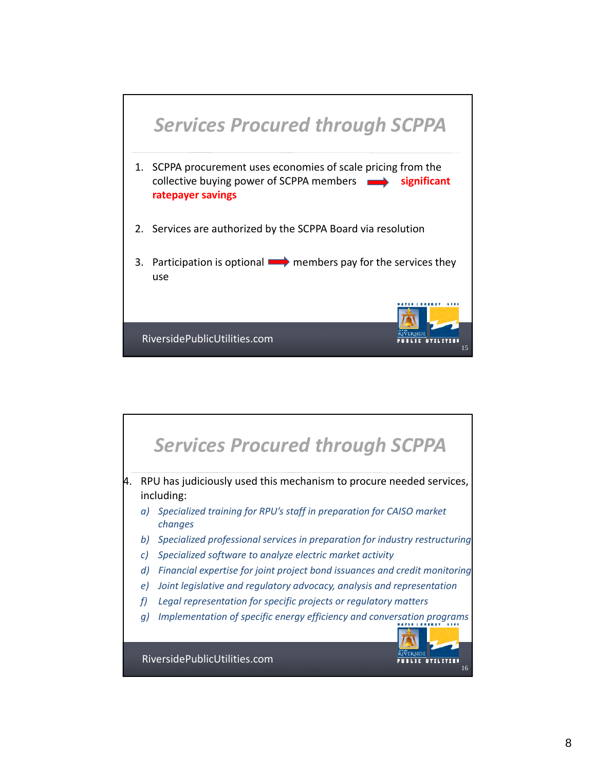

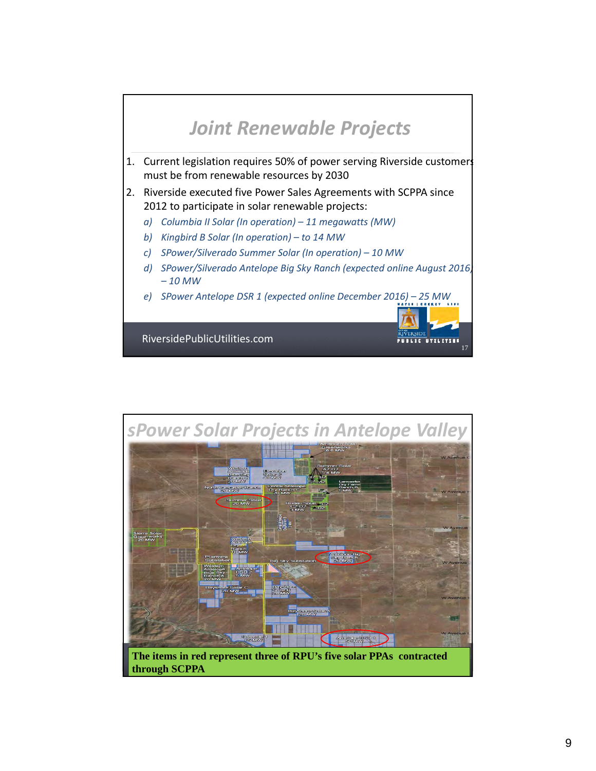

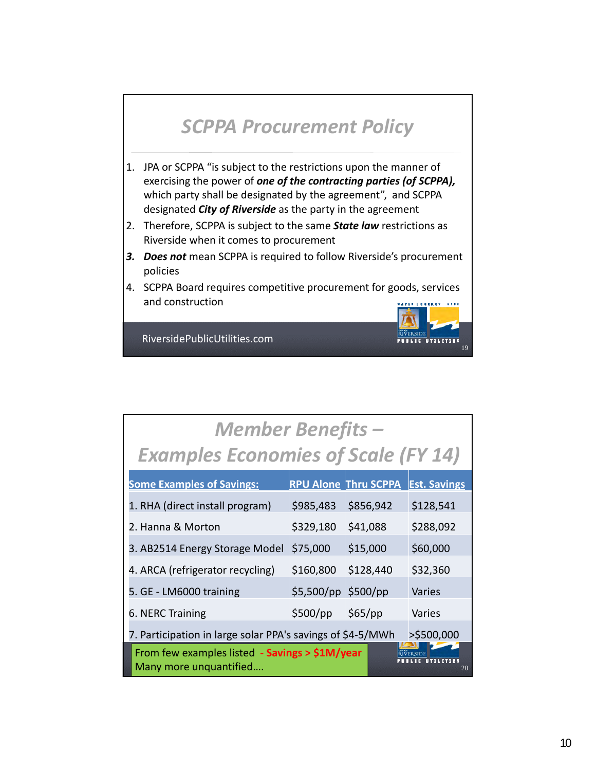## *SCPPA Procurement Policy*

- 1. JPA or SCPPA "is subject to the restrictions upon the manner of exercising the power of *one of the contracting parties (of SCPPA),* which party shall be designated by the agreement", and SCPPA designated *City of Riverside* as the party in the agreement
- 2. Therefore, SCPPA is subject to the same *State law* restrictions as Riverside when it comes to procurement
- *3. Does not* mean SCPPA is required to follow Riverside's procurement policies
- 4. SCPPA Board requires competitive procurement for goods, services and construction Arrest ex

RiversidePublicUtilities.com

| <b>Member Benefits -</b>                                                  |              |                             |                     |
|---------------------------------------------------------------------------|--------------|-----------------------------|---------------------|
| <b>Examples Economies of Scale (FY 14)</b>                                |              |                             |                     |
| <b>Some Examples of Savings:</b>                                          |              | <b>RPU Alone Thru SCPPA</b> | <b>Est. Savings</b> |
| 1. RHA (direct install program)                                           | \$985,483    | \$856,942                   | \$128,541           |
| 2. Hanna & Morton                                                         | \$329,180    | \$41,088                    | \$288,092           |
| 3. AB2514 Energy Storage Model                                            | \$75,000     | \$15,000                    | \$60,000            |
| 4. ARCA (refrigerator recycling)                                          | \$160,800    | \$128,440                   | \$32,360            |
| 5. GE - LM6000 training                                                   | $$5,500$ /pp | \$500/pp                    | Varies              |
| 6. NERC Training                                                          | \$500/pp     | \$65/pp                     | Varies              |
| 7. Participation in large solar PPA's savings of \$4-5/MWh                |              |                             | >\$500,000          |
| From few examples listed - Savings > \$1M/year<br>Many more unquantified. |              |                             | <b>ERSIDE</b><br>20 |

19

PUBLIC UTILITIES